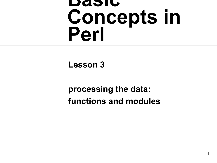#### **Basic Concepts in Perl**

#### **Lesson 3**

#### **processing the data: functions and modules**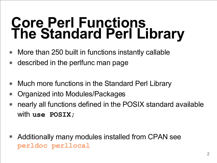#### **Core Perl Functions The Standard Perl Library**

- More than 250 built in functions instantly callable
- described in the perIfunc man page
- Much more functions in the Standard Perl Library
- Organized into Modules/Packages
- nearly all functions defined in the POSIX standard available with **use POSIX;**
- Additionally many modules installed from CPAN see **perldoc perllocal**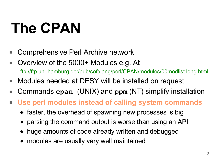# **The CPAN**

- Comprehensive Perl Archive network
- Overview of the 5000+ Modules e.g. At ftp://ftp.uni-hamburg.de:/pub/soft/lang/perl/CPAN/modules/00modlist.long.html
- Modules needed at DESY will be installed on request
- Commands **cpan** (UNIX) and **ppm** (NT) simplify installation
- **Use perl modules instead of calling system commands**
	- ◆ faster, the overhead of spawning new processes is big
	- ◆ parsing the command output is worse than using an API
	- ◆ huge amounts of code already written and debugged
	- ◆ modules are usually very well maintained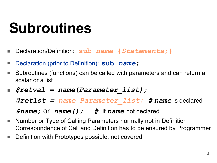### **Subroutines**

- Declaration/Definition: **sub** *name* **{***Statements***;}**
- Declaration (prior to Definition): **sub** *name***;**
- Subroutines (functions) can be called with parameters and can return a scalar or a list
- *\$retval = name***(***Parameter\_list);*

*@retlst = name Parameter\_list; # name* is declared

*&name;* or *name(); #* if *name* not declared

- Number or Type of Calling Parameters normally not in Definition Correspondence of Call and Definition has to be ensured by Programmer
- Definition with Prototypes possible, not covered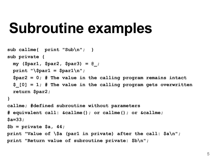#### **Subroutine examples**

```
sub callme{ print "Sub\n"; }
sub private {
 my ($par1, $par2, $par3) = @_;
 print "\$par1 = $par1\n";
  $par2 = 0; # The value in the calling program remains intact
  $_[0] = 1; # The value in the calling program gets overwritten
  return $par2;
}
callme; #defined subroutine without parameters
# equivalent call: &callme(); or callme(); or &callme;
$a=33;
$b = private $a, 44;
print "Value of \$a (par1 in private) after the call: $a\n";
print "Return value of subroutine private: $b\n";
```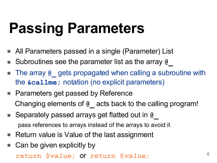## **Passing Parameters**

- All Parameters passed in a single (Parameter) List
- Subroutines see the parameter list as the array **@**
- The array @ gets propagated when calling a subroutine with the **&callme;** notation (no explicit parameters)
- Parameters get passed by Reference Changing elements of **@\_** acts back to the calling program!
- Separately passed arrays get flatted out in **@\_** pass references to arrays instead of the arrays to avoid it
- Return value is Value of the last assignment
- Can be given explicitly by

**return \$***value***;** or **return @***value***;**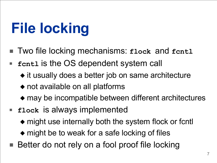# **File locking**

- Two file locking mechanisms: **flock** and **fentl**
- **fcnt1** is the OS dependent system call
	- ◆ it usually does a better job on same architecture
	- ◆ not available on all platforms
	- ◆ may be incompatible between different architectures
- **flock** is always implemented
	- ◆ might use internally both the system flock or fcntl
	- ◆ might be to weak for a safe locking of files
- Better do not rely on a fool proof file locking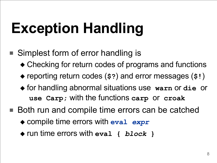# **Exception Handling**

- Simplest form of error handling is
	- ◆ Checking for return codes of programs and functions
	- ◆ reporting return codes (**\$?**) and error messages (**\$!**)
	- ◆ for handling abnormal situations use **warn** or **die** or **use Carp;** with the functions **carp** or **croak**
- Both run and compile time errors can be catched
	- ◆ compile time errors with **eval** *expr*
	- ◆ run time errors with **eval {** *block* **}**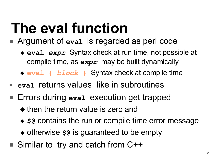## **The eval function**

- Argument of eval is regarded as perl code
	- ◆ **eval** *expr* Syntax check at run time, not possible at compile time, as *expr* may be built dynamically
	- ◆ **eval {** *block* **}** Syntax check at compile time
- **eval** returns values like in subroutines
- Errors during eval execution get trapped
	- ◆ then the return value is zero and
	- ◆ \$@ contains the run or compile time error message
	- ◆ otherwise  $\frac{1}{2}$  is guaranteed to be empty
- Similar to try and catch from C++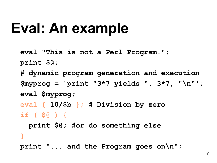### **Eval: An example**

```
eval "This is not a Perl Program.";
print $@;
# dynamic program generation and execution
$myprog = 'print "3*7 yields "
, 3*7,
"\n"';
eval $myprog;
eval { 10/$b }; # Division by zero
if ( $@ ) {
  print $@; #or do something else
}
print "... and the Program goes on\n";
```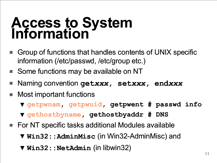#### **Access to System Information**

- Group of functions that handles contents of UNIX specific information (/etc/passwd, /etc/group etc.)
- Some functions may be available on NT
- Naming convention **get***xxx***, set***xxx***, end***xxx*
- Most important functions
	- ▼ **getpwnam, getpwuid, getpwent # passwd info**
	- ▼ **gethostbyname, gethostbyaddr # DNS**
- For NT specific tasks additional Modules available
	- ▼ **Win32::AdminMisc** (in Win32-AdminMisc) and
	- ▼ **Win32::NetAdmin** (in libwin32)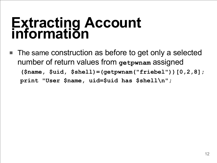#### **Extracting Account information**

The same construction as before to get only a selected number of return values from **getpwnam** assigned **(\$name, \$uid, \$shell)=(getpwnam("friebel"))[0,2,8]; print "User \$name, uid=\$uid has \$shell\n";**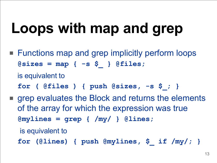## **Loops with map and grep**

■ Functions map and grep implicitly perform loops **@sizes = map { -s \$\_ } @files;**

is equivalent to

- **for ( @files ) { push @sizes, -s \$\_; }**
- grep evaluates the Block and returns the elements of the array for which the expression was true **@mylines = grep { /my/ } @lines;**

is equivalent to

**for (@lines) { push @mylines, \$\_ if /my/; }**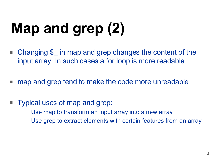# **Map and grep (2)**

- Changing \$ in map and grep changes the content of the input array. In such cases a for loop is more readable
- map and grep tend to make the code more unreadable
- Typical uses of map and grep: Use map to transform an input array into a new array Use grep to extract elements with certain features from an array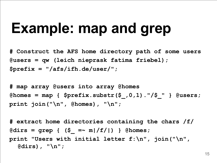### **Example: map and grep**

**# Construct the AFS home directory path of some users @users = qw (leich nieprask fatima friebel); \$prefix = "/afs/ifh.de/user/";**

**# map array @users into array @homes @homes = map { \$prefix.substr(\$\_,0,1)."/\$\_" } @users; print join("\n", @homes), "\n";**

**# extract home directories containing the chars /f/ @dirs = grep { (\$\_ =~ m|/f/|) } @homes; print "Users with initial letter f:\n", join("\n", @dirs), "\n";**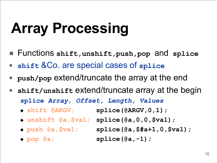# **Array Processing**

- Functions **shift,unshift,push,pop** and **splice**
- **shift** &Co. are special cases of **splice**
- **push/pop** extend/truncate the array at the end
- shift/unshift extend/truncate array at the begin **splice** *Array, Offset, Length, Values*
	- ◆ **shift @ARGV; splice(@ARGV,0,1);**
	- ◆ **unshift @a,\$val; splice(@a,0,0,\$val);**
	-
	- ◆ **push @a,\$val; splice(@a,\$#a+1,0,\$val);** ◆ **pop @a; splice(@a,-1);**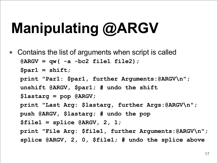# **Manipulating @ARGV**

■ Contains the list of arguments when script is called **@ARGV = qw( -a -bc2 file1 file2); \$par1 = shift; print "Par1: \$par1, further Arguments:@ARGV\n"; unshift @ARGV, \$par1; # undo the shift \$lastarg = pop @ARGV; print "Last Arg: \$lastarg, further Args:@ARGV\n"; push @ARGV, \$lastarg; # undo the pop \$file1 = splice @ARGV, 2, 1; print "File Arg: \$file1, further Arguments:@ARGV\n"; splice @ARGV, 2, 0, \$file1; # undo the splice above**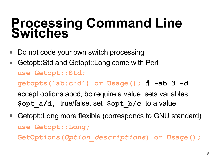#### **Processing Command Line Switches**

- Do not code your own switch processing
- Getopt::Std and Getopt::Long come with Perl **use Getopt::Std; getopts('ab:c:d') or Usage(); # -ab 3 -d** accept options abcd, bc require a value, sets variables: **\$opt\_a/d,** true/false, set **\$opt\_b/c** to a value
- Getopt::Long more flexible (corresponds to GNU standard) **use Getopt::Long; GetOptions(***Option\_descriptions***) or Usage();**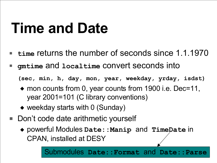### **Time and Date**

- time returns the number of seconds since 1.1.1970
- **gmtime** and **localtime** convert seconds into

**(sec, min, h, day, mon, year, weekday, yrday, isdst)**

- ◆ mon counts from 0, year counts from 1900 i.e. Dec=11, year 2001=101 (C library conventions)
- ◆ weekday starts with 0 (Sunday)
- Don't code date arithmetic yourself
	- ◆ powerful Modules **Date::Manip** and **TimeDate** in CPAN, installed at DESY

19 Submodules **Date::Format** and **Date::Parse**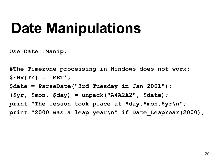### **Date Manipulations**

**Use Date::Manip;**

**#The Timezone processing in Windows does not work: \$ENV{TZ} = 'MET'; \$date = ParseDate("3rd Tuesday in Jan 2001"); (\$yr, \$mon, \$day) = unpack("A4A2A2", \$date); print "The lesson took place at \$day.\$mon.\$yr\n"; print "2000 was a leap year\n" if Date\_LeapYear(2000);**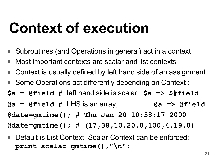### **Context of execution**

- Subroutines (and Operations in general) act in a context
- Most important contexts are scalar and list contexts
- Context is usually defined by left hand side of an assignment
- Some Operations act differently depending on Context :
- **\$a = @field #** left hand side is scalar, **\$a => \$#field**
- **@a = @field #** LHS is an array, **@a => @field**

**\$date=gmtime(); # Thu Jan 20 10:38:17 2000**

**@date=gmtime(); # (17,38,10,20,0,100,4,19,0)**

Default is List Context, Scalar Context can be enforced: **print scalar gmtime(), "\n";**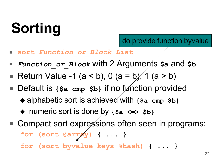# **Sorting**

- **sort** *Function\_or\_Block List*
- *Function or Block* with 2 Arguments  $\hat{\mathbf{s}}$  and  $\hat{\mathbf{s}}$ b
- Return Value -1 (a < b), 0 (a = b), 1 (a > b)
- Default is {\$a cmp \$b} if no function provided
	- ◆ alphabetic sort is achieved with {\$a cmp \$b}
	- ◆ numeric sort is done by **{\$a <=> \$b}**
- Compact sort expressions often seen in programs: **for (sort @array) { ... }**
	- **for (sort byvalue keys %hash) { ... }**

do provide function byvalue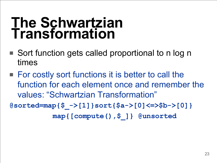#### **The Schwartzian Transformation**

- Sort function gets called proportional to n log n times
- For costly sort functions it is better to call the function for each element once and remember the values: "Schwartzian Transformation"

**@sorted=map{\$\_->[1]}sort{\$a->[0]<=>\$b->[0]} map{[compute(),\$\_]} @unsorted**